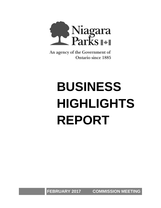

An agency of the Government of **Ontario since 1885** 

# **BUSINESS HIGHLIGHTS REPORT**

**FEBRUARY 2017 COMMISSION MEETING**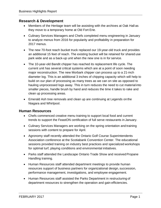## **Research & Development**

- Members of the Heritage team will be assisting with the archives at Oak Hall as they move to a temporary home at Old Fort Erie.
- Culinary Services Managers and Chefs completed menu engineering in January to analyze menus from 2016 for popularity and profitability in preparation for 2017 menus.
- The new 70-foot reach bucket truck replaced our 19-year-old truck and provides an additional 15 feet of reach. The existing bucket will be retained for shared use park wide and as a back-up unit when the new one is in for service.
- The 10-year-old Bandit chipper has reached its replacement life cycle. The current unit has several critical systems which are at a point of soon needing major reconstruction. The new Morbark chipper can process up to a 21-inch diameter log. This is an additional 3 inches of chipping capacity which will help to build on our plan of processing as many trees as we can on site as opposed to hauling unprocessed logs away. This in turn reduces the need to cut material into smaller pieces, handle brush by hand and reduces the time it takes to rake and clean up processing areas.
- Emerald Ash tree removals and clean up are continuing at Legends on the Niagara and Whirlpool.

## **Human Resources**

- Chefs commenced creative menu training to support local food and current trends to support the FeastON certification of full serve restaurants in January.
- Culinary Services Managers are working on the spring orientation and training sessions with content to prepare for April.
- Agronomy staff recently attended the Ontario Golf Course Superintendents Association conference at the Scotiabank Convention Center. The educational sessions provided training on industry best practices and specialized workshops for optimal turf, playing conditions and environmental initiatives.
- Parks staff attended the Landscape Ontario Trade Show and received Propane Handling training.
- Human Resources staff attended department meetings to provide human resources support of business partners for organizational design, succession, performance management, investigations, and employee engagement.
- Human Resources staff assisted the Parks Department in restructuring of department resources to strengthen the operation and gain efficiencies.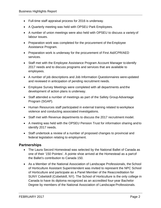- Full-time staff appraisal process for 2016 is underway.
- A Quarterly meeting was held with OPSEU Park Employees.
- A number of union meetings were also held with OPSEU to discuss a variety of labour issues.
- Preparation work was completed for the procurement of the Employee Assistance Program.
- Preparation work is underway for the procurement of First Aid/CPR/AED services.
- Staff met with the Employee Assistance Program Account Manager to identify 2017 needs and to discuss programs and services that are available to employees.
- A number of job descriptions and Job Information Questionnaires were updated and reviewed in anticipation of pending recruitment needs.
- Employee Survey Meetings were completed with all departments and the development of action plans is underway.
- Staff attended a number of meetings as part of the Safety Group Advantage Program (SGAP).
- Human Resources staff participated in external training related to workplace violence and conducting associated investigations.
- Staff met with Revenue departments to discuss the 2017 recruitment model.
- A meeting was held with the OPSEU Pension Trust for information sharing and to identify 2017 needs.
- Staff undertook a review of a number of proposed changes to provincial and federal legislation relating to employment.

## **Partnerships**

- The Laura Secord Homestead was selected by the National Ballet of Canada as one of their '150 Pointes'. A pointe shoe arrived at the Homestead as a partof the Ballet's contribution to Canada 150.
- As a Member of the National Association of Landscape Professionals, the School of Horticulture Assistant Superintendent was invited to represent the NPC School of Horticulture and participate as a Panel Member of the Reaccreditation for SUNY Cobelskill (Cobelskill, NY). The School of Horticulture is the only college in Canada to have its diploma recognized as an accredited four-year Bachelor Degree by members of the National Association of Landscape Professionals.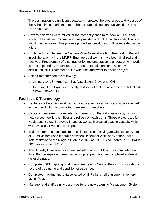The designation is significant because it increases the awareness and prestige of the School in comparison to other horticulture colleges and universities across North America.

- Several ash trees were milled for the carpentry shop to re-deck an NPC float trailer. The cost was minimal and has provided a durable hardwood deck which should last for years. This process proved successful and will be repeated in the future.
- Continued to implement the Niagara River Coastal Wetland Restoration Project in collaboration with the MNRF. Engineered drawings have been finalized and received. Procurement of a contractor for implementation is underway with work to be completed by March 15, 2017. Letters to adjacent landowners were distributed. NPC Staff met on-site with one landowner to discuss project.
- Sales Staff attended the following:
	- o January 14-18 American Bus Association, Cleveland, OH
	- o February 1-3 Canadian Society of Association Executives Tête-à-Tête Trade Show, Ottawa, ON

## **Facilities & Technology**

- Heritage staff are now working with Past Perfect for artifacts and artwork as well as the introduction of Skype tour previews for teachers.
- Capital improvements completed at Elements on the Falls restaurant, including new carpet, new kitchen floor and refresh of washrooms. These projects are for Health and Safety, improved image as well as increased seating capacity which will have a positive financial impact.
- Trail counter data continues to be collected from the Niagara Glen stairs. A total of 5,228 visitors used the trails between December 2016 and January 2017. Total visitation to the Niagara Glen in 2016 was 130,735 compared to 108,844 in 2015 an increase of 20%.
- The Butterfly Conservatory annual maintenance shutdown was completed on time. Further repair and renovation of upper pathway was completed addressing water drainage.
- Completed GIS mapping of all specimen trees in Central Parks. This included a record of tree name and condition of each tree.
- Completed tracking and data collected of all Parks small equipment inventory using IPads.
- Manager and staff training continues for the new Learning Management System.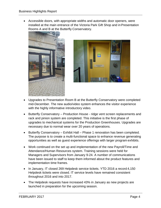• Accessible doors, with appropriate widths and automatic door openers, were installed at the main entrance of the Victoria Park Gift Shop and inPresentation Rooms A and B at the Butterfly Conservatory.





- Upgrades to Presentation Room B at the Butterfly Conservatory were completed mid-December. The new audio/video system enhances the visitor experience with the highly informative introductory video.
- Butterfly Conservatory Production House ridge vent screen replacements and rack and pinion system are completed. This initiative is the first phase of upgrades to mechanical systems for the Production Greenhouses. Upgrades are necessary due to normal wear over 20 years of operations.
- Butterfly Conservatory Exhibit Hall Phase 1 renovation has been completed. The purpose is to create a multi-functional space to enhance revenue generating opportunities as well as guest experience offerings with larger program exhibits.
- Work continued on the set up and implementation of the new Payroll/Time and Attendance/Human Resources system. Training sessions were held for Managers and Supervisors from January 9-24. A number of communications have been issued to staff to keep them informed about the product features and implementation time frames.
- In January, IT closed 269 Helpdesk service tickets. YTD 2016 a record 4,150 Helpdesk tickets were closed. IT service levels have remained consistent throughout 2016 and into 2017.
- The Helpdesk requests have increased 43% in January as new projects are launched in preparation for the upcoming season.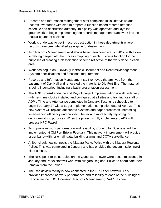- Records and Information Management staff completed initial interviews and records inventories with staff to prepare a function-based records retention schedule and destruction authority; this policy was approved and lays the groundwork to begin implementing the records management framework into the regular course of business.
- Work is underway to begin records destruction in those departments where records have been identified as eligible for destruction.
- Two Records Management workshops have been completed in 2017, with a view to delving deeper into the process mapping of each business function for the purposes of creating a classification schema reflective of the work done in each area.
- Work has begun on EDRMS (Electronic Document and Records Management System) specifications and functional requirements.
- Records and Information Management staff removed the archives from the basement of Oak Hall and re-located the material to Old Fort Erie. The material is being inventoried, including a basic preservation assessment.
- The ADP Time/Attendance and Payroll project implementation is well underway with new time clocks installed and configured at all sites and training for staff on ADP's Time and Attendance completed in January. Testing is scheduled to begin February 27 with a target implementation completion date of April 21.This new system will replace antiquated systems and paper processes, increasing time-keeping efficiency and providing better and more timely reporting for decision-making purposes. When the project is fully implemented, ADP will process NPC Payroll.
- To improve network performance and reliability, 'Cogeco for Business' will be implemented at Old Fort Erie in February. This network improvement will provide larger bandwidth for email, data, building alarms and CCTV surveillance.
- A fiber circuit now connects the Niagara Parks Police with the Niagara Regional Police. This was completed in January and has enabled the decommissioning of older circuits.
- The NPC point-to-point radios on the Queenston Tower were decommissioned in January and Parks staff will work with Niagara Regional Police to coordinate their removal from the Tower.
- The Rapidsview facility is now connected to the NPC fiber network. This provides improved network performance and reliability to each of the buildings at Rapidsview (WEGO, Licensing, Records Management). VoIP has been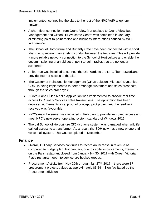implemented. connecting the sites to the rest of the NPC VoIP telephony network.

- A short fiber connection from Grand View Marketplace to Grand View Bus Management and Clifton Hill Welcome Centre was completed in January, eliminating point-to-point radios and business interruptions caused by Wi-Fi interference.
- The School of Horticulture and Butterfly Café have been connected with a short fiber run by repairing an existing conduit between the two sites. This will provide a more reliable network connection to the School of Horticulture and enable the decommissioning of an old set of point to point radios that are no longer supported.
- A fiber run was installed to connect the Old Yards to the NPC fiber network and provide internet access to the site.
- The Customer Relationship Management (CRM) solution, Microsoft Dynamics CRM, is being implemented to better manage customers and sales prospects through the sales order cycle.
- NCR's Aloha Pulse Mobile Application was implemented to provide real-time access to Culinary Services sales transactions. The application has been deployed at Elements as a 'proof of concept' pilot project and the feedback received was favourable.
- NPC's main file server was replaced in February to provide improved access and meet NPC's new server operating system standard of Windows 2012.
- The old School of Horticulture (SOH) phone system was damaged when wildlife gained access to a transformer. As a result, the SOH now has a new phone and voice mail system. This was completed in December.

# **Finance**

- Overall, Culinary Services continues to record an increase in revenue as compared to budget plan. For January, due to capital improvements, Elements on the Falls restaurant closed from January 9 – 30, 2017 with Queen Victoria Place restaurant open to service pre-booked groups.
- Procurement Activity from Nov 29th through Jan  $27<sup>th</sup>$ , 2017 there were 87 procurement projects valued at approximately \$3.24 million facilitated by the Procurement division.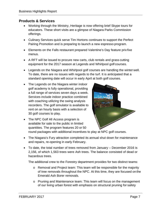## **Products & Services**

- Working through the Ministry, Heritage is now offering brief Skype tours for educators. These short visits are a glimpse of Niagara Parks Commission offerings.
- Culinary Services quick serve Tim Hortons continues to support the Perfect Pairing Promotion and is preparing to launch a new espresso program.
- Elements on the Falls restaurant prepared Valentine's Day feature prix fixe menus.
- A RFT will be issued to procure new carts, club rentals and grass cutting equipment for the 2017 season at Legends and Whirlpool golf courses.
- Legends on the Niagara and Whirlpool golf courses are handling the winter well. To date, there are no issues with regards to the turf. It is anticipated that a standard opening date will occur in early April at both golf courses.
- The Legends on the Niagara winter indoor golf academy is fully operational, providing a full range of services seven days a week. Services include indoor practice combined with coaching utilizing the swing analysis recorders. The golf simulator is available to rent on an hourly basis with a selection of 30 golf courses to play.



- The NPC Golf All Access program is available for sale to the public in limited quantities. The program features 20 or 50 round packages with additional incentives to play at NPC golf courses.
	- The Niagara's Fury attraction completed its annual shut down for maintenance and repairs, re-opening in early February.
	- To date, the total number of trees removed from January December 2016 is 2,156, of which 1,563 trees were Ash trees. The balance consisted of dead or hazardous trees.

The additional crew to the Forestry department provides for two distinct teams:

- o Removal and Project team: This team will be responsible for the majority of tree removals throughout the NPC. At this time, they are focused on the Emerald Ash Borer removals.
- o Pruning and Maintenance team: This team will focus on the management of our living urban forest with emphasis on structural pruning for safety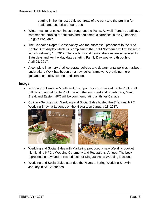starting in the highest trafficked areas of the park and the pruning for health and esthetics of our trees.

- Winter maintenance continues throughout the Parks. As well, Forestry staff have commenced pruning for hazards and equipment clearances in the Queenston Heights Park area.
- The Canadian Raptor Conservancy was the successful proponent to the "Live Raptor Bird" display which will complement the ROM Northern Owl Exhibit set to launch February 13, 2017. The live birds and demonstrations are scheduled for Saturdays and key holiday dates starting Family Day weekend through to April 23, 2017.
- A complete inventory of all corporate policies and departmental policies has been undertaken. Work has begun on a new policy framework, providing more guidance on policy content and creation.

## **Image**

- In honour of Heritage Month and to support our coworkers at Table Rock, staff will be on hand at Table Rock through the long weekend of February, March Break and Easter. NPC will be commemorating all things Canada.
- Culinary Services with Wedding and Social Sales hosted the 3<sup>rd</sup> annual NPC Wedding Show at Legends on the Niagara on January 28, 2017.



- Wedding and Social Sales with Marketing produced a new Wedding booklet highlighting NPC's Wedding Ceremony and Receptions Venues. The book represents a new and refreshed look for Niagara Parks Wedding locations
- Wedding and Social Sales attended the Niagara Spring Wedding Show in January in St. Catharines.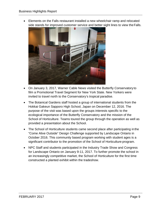• Elements on the Falls restaurant installed a new wheelchair ramp and relocated side stands for improved customer service and better sight lines to view theFalls.



- On January 3, 2017, Warner Cable News visited the Butterfly Conservatory to film a Promotional Travel Segment for New York State. New Yorkers were invited to travel north to the Conservatory's tropical paradise.
- The Botanical Gardens staff hosted a group of international students from the Hokkai Gakeun Sapporo High School, Japan on December 12, 2016. The purpose of the visit was based upon the groups interests specific to the ecological importance of the Butterfly Conservatory and the mission of the School of Horticulture. Teams toured the group through the operation as well as provided a presentation about the School.
- The School of Horticulture students came second place after participating inthe "Come Alive Outside" Design Challenge supported by Landscape Ontario in October 2016. This community based program working with student ages is a significant contributor to the promotion of the School of Horticulture program.
- NPC Staff and students participated in the Industry Trade Show and Congress for Landscape Ontario on January 9-11, 2017. To further promote the school in an increasingly competitive market, the School of Horticulture for the first time constructed a planted exhibit within the tradeshow.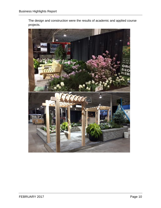The design and construction were the results of academic and applied course projects.

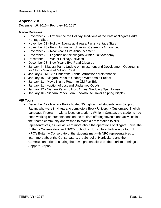# **Appendix A**

December 16, 2016 – February 16, 2017

#### **Media Releases**

- November 23 Experience the Holiday Traditions of the Past at Niagara Parks Heritage Sites
- November 23 Holiday Events at Niagara Parks Heritage Sites
- November 23 Falls Illumination Unveiling Ceremony Announced
- November 25 New Year's Eve Announcement
- November 28 Legends on the Niagara Winter Golf Academy
- December 22 Winter Holiday Activities
- December 28 New Year's Eve Road Closures
- January 4 Niagara Parks Update on Investment and Development Opportunity for NPC's Marina at Miller's Creek
- January 4 NPC to Undertake Annual Attractions Maintenance
- January 10 Niagara Parks to Undergo Water main Project
- January 11 Movie Nights Return to Old Fort Erie
- January 11 Auction of Lost and Unclaimed Goods
- January 12 Niagara Parks to Host Annual Wedding Open House
- January 16 Niagara Parks Floral Showhouse Unveils Spring Display

#### **VIP Tours**

• December 12 - Niagara Parks hosted 35 high school students from Sapporo, Japan, who were in Niagara to complete a Brock University Customized English Language Program – with a focus on tourism. While in Canada, the students had been working on presentations on the tourism offerings/events and activities in their home community and wished to make a presentation to NPC representatives, as well as learn more about the operations of Niagara Parks, the Butterfly Conservatory and NPC's School of Horticulture. Following a tour of NPC's Butterfly Conservatory, the students met with NPC representatives to learn more about the Conservatory, the School of Horticulture and the Commission, prior to sharing their own presentations on the tourism offerings of Sapporo, Japan.